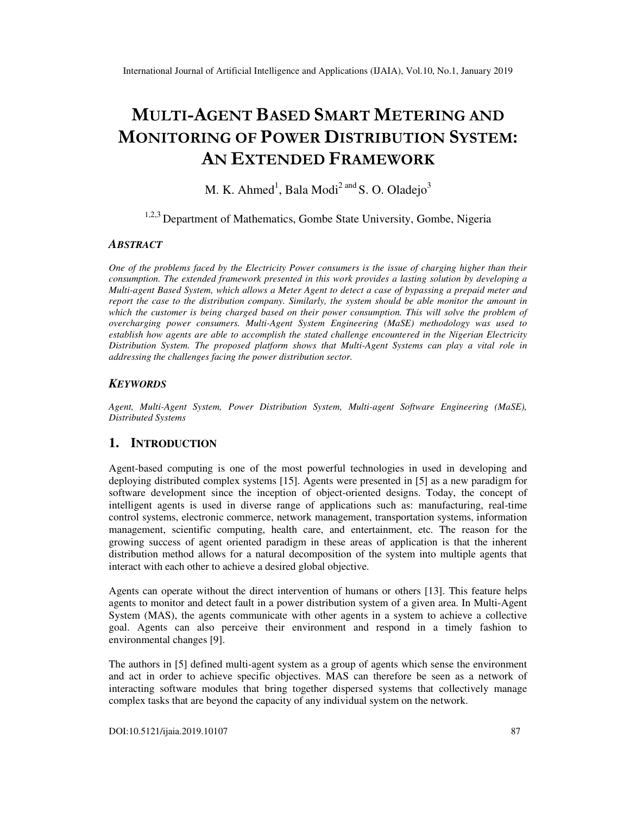# **MULTI-AGENT BASED SMART METERING AND MONITORING OF POWER DISTRIBUTION SYSTEM: AN EXTENDED FRAMEWORK**

M. K. Ahmed $^1$ , Bala Modi<sup>2 and</sup> S. O. Oladejo $^3$ 

<sup>1,2,3</sup> Department of Mathematics, Gombe State University, Gombe, Nigeria

#### *ABSTRACT*

*One of the problems faced by the Electricity Power consumers is the issue of charging higher than their consumption. The extended framework presented in this work provides a lasting solution by developing a Multi-agent Based System, which allows a Meter Agent to detect a case of bypassing a prepaid meter and report the case to the distribution company. Similarly, the system should be able monitor the amount in*  which the customer is being charged based on their power consumption. This will solve the problem of *overcharging power consumers. Multi-Agent System Engineering (MaSE) methodology was used to establish how agents are able to accomplish the stated challenge encountered in the Nigerian Electricity Distribution System. The proposed platform shows that Multi-Agent Systems can play a vital role in addressing the challenges facing the power distribution sector.* 

#### *KEYWORDS*

*Agent, Multi-Agent System, Power Distribution System, Multi-agent Software Engineering (MaSE), Distributed Systems* 

# **1. INTRODUCTION**

Agent-based computing is one of the most powerful technologies in used in developing and deploying distributed complex systems [15]. Agents were presented in [5] as a new paradigm for software development since the inception of object-oriented designs. Today, the concept of intelligent agents is used in diverse range of applications such as: manufacturing, real-time control systems, electronic commerce, network management, transportation systems, information management, scientific computing, health care, and entertainment, etc. The reason for the growing success of agent oriented paradigm in these areas of application is that the inherent distribution method allows for a natural decomposition of the system into multiple agents that interact with each other to achieve a desired global objective.

Agents can operate without the direct intervention of humans or others [13]. This feature helps agents to monitor and detect fault in a power distribution system of a given area. In Multi-Agent System (MAS), the agents communicate with other agents in a system to achieve a collective goal. Agents can also perceive their environment and respond in a timely fashion to environmental changes [9].

The authors in [5] defined multi-agent system as a group of agents which sense the environment and act in order to achieve specific objectives. MAS can therefore be seen as a network of interacting software modules that bring together dispersed systems that collectively manage complex tasks that are beyond the capacity of any individual system on the network.

DOI:10.5121/ijaia.2019.10107 87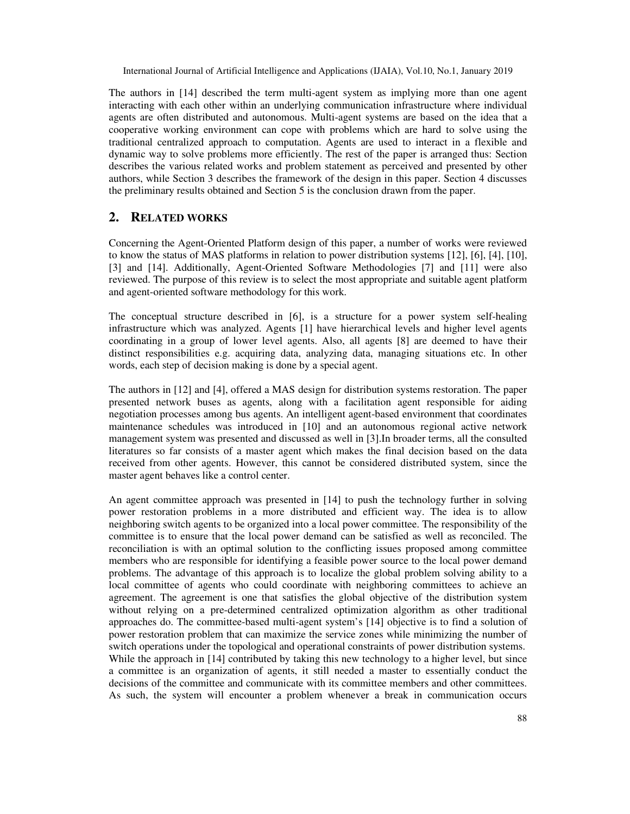The authors in [14] described the term multi-agent system as implying more than one agent interacting with each other within an underlying communication infrastructure where individual agents are often distributed and autonomous. Multi-agent systems are based on the idea that a cooperative working environment can cope with problems which are hard to solve using the traditional centralized approach to computation. Agents are used to interact in a flexible and dynamic way to solve problems more efficiently. The rest of the paper is arranged thus: Section describes the various related works and problem statement as perceived and presented by other authors, while Section 3 describes the framework of the design in this paper. Section 4 discusses the preliminary results obtained and Section 5 is the conclusion drawn from the paper.

# **2. RELATED WORKS**

Concerning the Agent-Oriented Platform design of this paper, a number of works were reviewed to know the status of MAS platforms in relation to power distribution systems [12], [6], [4], [10], [3] and [14]. Additionally, Agent-Oriented Software Methodologies [7] and [11] were also reviewed. The purpose of this review is to select the most appropriate and suitable agent platform and agent-oriented software methodology for this work.

The conceptual structure described in [6], is a structure for a power system self-healing infrastructure which was analyzed. Agents [1] have hierarchical levels and higher level agents coordinating in a group of lower level agents. Also, all agents [8] are deemed to have their distinct responsibilities e.g. acquiring data, analyzing data, managing situations etc. In other words, each step of decision making is done by a special agent.

The authors in [12] and [4], offered a MAS design for distribution systems restoration. The paper presented network buses as agents, along with a facilitation agent responsible for aiding negotiation processes among bus agents. An intelligent agent-based environment that coordinates maintenance schedules was introduced in [10] and an autonomous regional active network management system was presented and discussed as well in [3].In broader terms, all the consulted literatures so far consists of a master agent which makes the final decision based on the data received from other agents. However, this cannot be considered distributed system, since the master agent behaves like a control center.

An agent committee approach was presented in [14] to push the technology further in solving power restoration problems in a more distributed and efficient way. The idea is to allow neighboring switch agents to be organized into a local power committee. The responsibility of the committee is to ensure that the local power demand can be satisfied as well as reconciled. The reconciliation is with an optimal solution to the conflicting issues proposed among committee members who are responsible for identifying a feasible power source to the local power demand problems. The advantage of this approach is to localize the global problem solving ability to a local committee of agents who could coordinate with neighboring committees to achieve an agreement. The agreement is one that satisfies the global objective of the distribution system without relying on a pre-determined centralized optimization algorithm as other traditional approaches do. The committee-based multi-agent system's [14] objective is to find a solution of power restoration problem that can maximize the service zones while minimizing the number of switch operations under the topological and operational constraints of power distribution systems. While the approach in [14] contributed by taking this new technology to a higher level, but since a committee is an organization of agents, it still needed a master to essentially conduct the decisions of the committee and communicate with its committee members and other committees. As such, the system will encounter a problem whenever a break in communication occurs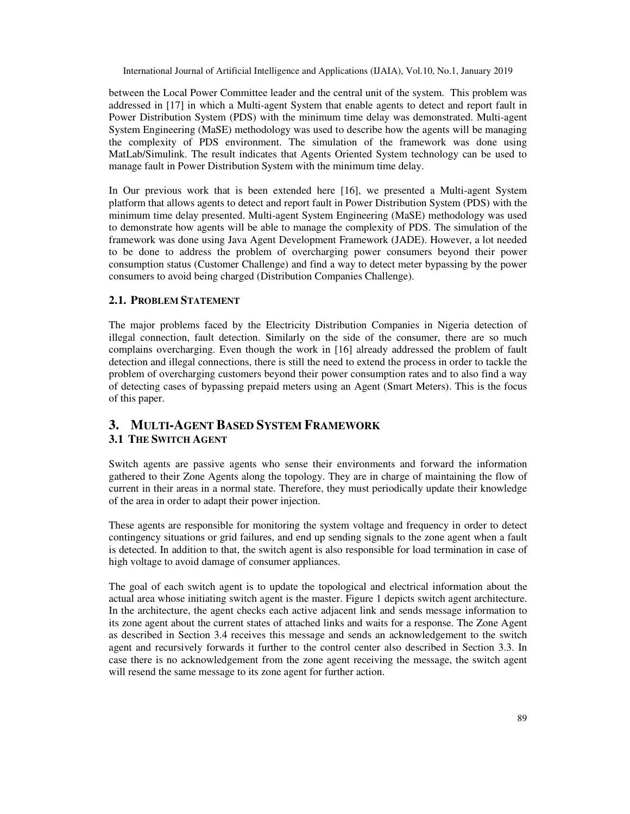between the Local Power Committee leader and the central unit of the system. This problem was addressed in [17] in which a Multi-agent System that enable agents to detect and report fault in Power Distribution System (PDS) with the minimum time delay was demonstrated. Multi-agent System Engineering (MaSE) methodology was used to describe how the agents will be managing the complexity of PDS environment. The simulation of the framework was done using MatLab/Simulink. The result indicates that Agents Oriented System technology can be used to manage fault in Power Distribution System with the minimum time delay.

In Our previous work that is been extended here [16], we presented a Multi-agent System platform that allows agents to detect and report fault in Power Distribution System (PDS) with the minimum time delay presented. Multi-agent System Engineering (MaSE) methodology was used to demonstrate how agents will be able to manage the complexity of PDS. The simulation of the framework was done using Java Agent Development Framework (JADE). However, a lot needed to be done to address the problem of overcharging power consumers beyond their power consumption status (Customer Challenge) and find a way to detect meter bypassing by the power consumers to avoid being charged (Distribution Companies Challenge).

#### **2.1. PROBLEM STATEMENT**

The major problems faced by the Electricity Distribution Companies in Nigeria detection of illegal connection, fault detection. Similarly on the side of the consumer, there are so much complains overcharging. Even though the work in [16] already addressed the problem of fault detection and illegal connections, there is still the need to extend the process in order to tackle the problem of overcharging customers beyond their power consumption rates and to also find a way of detecting cases of bypassing prepaid meters using an Agent (Smart Meters). This is the focus of this paper.

# **3. MULTI-AGENT BASED SYSTEM FRAMEWORK**

#### **3.1 THE SWITCH AGENT**

Switch agents are passive agents who sense their environments and forward the information gathered to their Zone Agents along the topology. They are in charge of maintaining the flow of current in their areas in a normal state. Therefore, they must periodically update their knowledge of the area in order to adapt their power injection.

These agents are responsible for monitoring the system voltage and frequency in order to detect contingency situations or grid failures, and end up sending signals to the zone agent when a fault is detected. In addition to that, the switch agent is also responsible for load termination in case of high voltage to avoid damage of consumer appliances.

The goal of each switch agent is to update the topological and electrical information about the actual area whose initiating switch agent is the master. Figure 1 depicts switch agent architecture. In the architecture, the agent checks each active adjacent link and sends message information to its zone agent about the current states of attached links and waits for a response. The Zone Agent as described in Section 3.4 receives this message and sends an acknowledgement to the switch agent and recursively forwards it further to the control center also described in Section 3.3. In case there is no acknowledgement from the zone agent receiving the message, the switch agent will resend the same message to its zone agent for further action.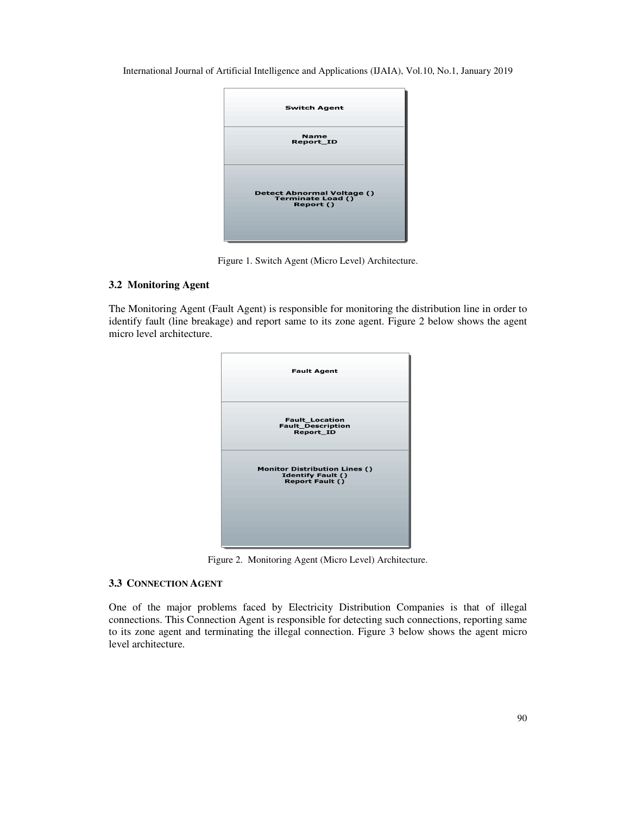

Figure 1. Switch Agent (Micro Level) Architecture.

#### **3.2 Monitoring Agent**

The Monitoring Agent (Fault Agent) is responsible for monitoring the distribution line in order to identify fault (line breakage) and report same to its zone agent. Figure 2 below shows the agent micro level architecture.



Figure 2. Monitoring Agent (Micro Level) Architecture.

### **3.3 CONNECTION AGENT**

One of the major problems faced by Electricity Distribution Companies is that of illegal connections. This Connection Agent is responsible for detecting such connections, reporting same to its zone agent and terminating the illegal connection. Figure 3 below shows the agent micro level architecture.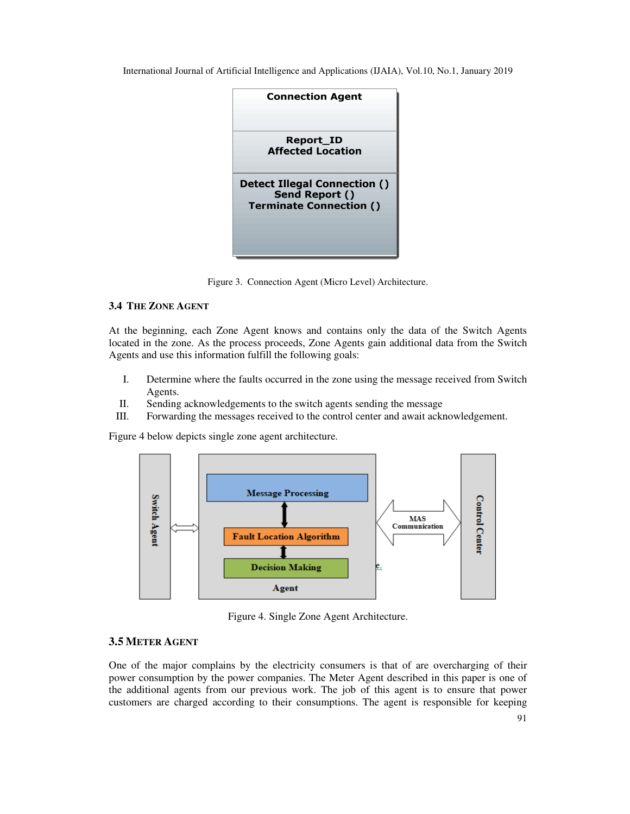

Figure 3. Connection Agent (Micro Level) Architecture.

#### **3.4 THE ZONE AGENT**

At the beginning, each Zone Agent knows and contains only the data of the Switch Agents located in the zone. As the process proceeds, Zone Agents gain additional data from the Switch Agents and use this information fulfill the following goals:

- I. Determine where the faults occurred in the zone using the message received from Switch Agents.
- II. Sending acknowledgements to the switch agents sending the message
- III. Forwarding the messages received to the control center and await acknowledgement.

Figure 4 below depicts single zone agent architecture.



Figure 4. Single Zone Agent Architecture.

#### **3.5 METER AGENT**

One of the major complains by the electricity consumers is that of are overcharging of their power consumption by the power companies. The Meter Agent described in this paper is one of the additional agents from our previous work. The job of this agent is to ensure that power customers are charged according to their consumptions. The agent is responsible for keeping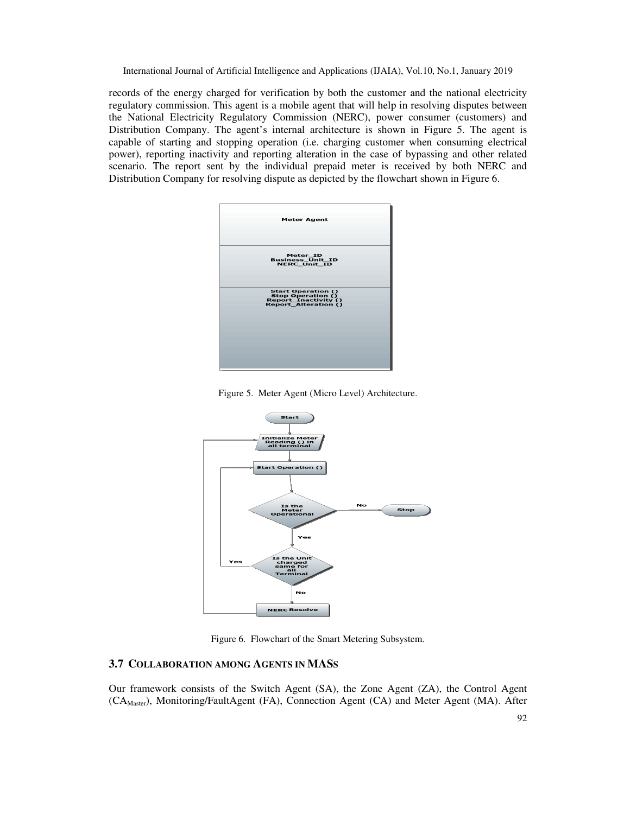records of the energy charged for verification by both the customer and the national electricity regulatory commission. This agent is a mobile agent that will help in resolving disputes between the National Electricity Regulatory Commission (NERC), power consumer (customers) and Distribution Company. The agent's internal architecture is shown in Figure 5. The agent is capable of starting and stopping operation (i.e. charging customer when consuming electrical power), reporting inactivity and reporting alteration in the case of bypassing and other related scenario. The report sent by the individual prepaid meter is received by both NERC and Distribution Company for resolving dispute as depicted by the flowchart shown in Figure 6.



Figure 5. Meter Agent (Micro Level) Architecture.



Figure 6. Flowchart of the Smart Metering Subsystem.

#### **3.7 COLLABORATION AMONG AGENTS IN MASS**

Our framework consists of the Switch Agent (SA), the Zone Agent (ZA), the Control Agent (CAMaster), Monitoring/FaultAgent (FA), Connection Agent (CA) and Meter Agent (MA). After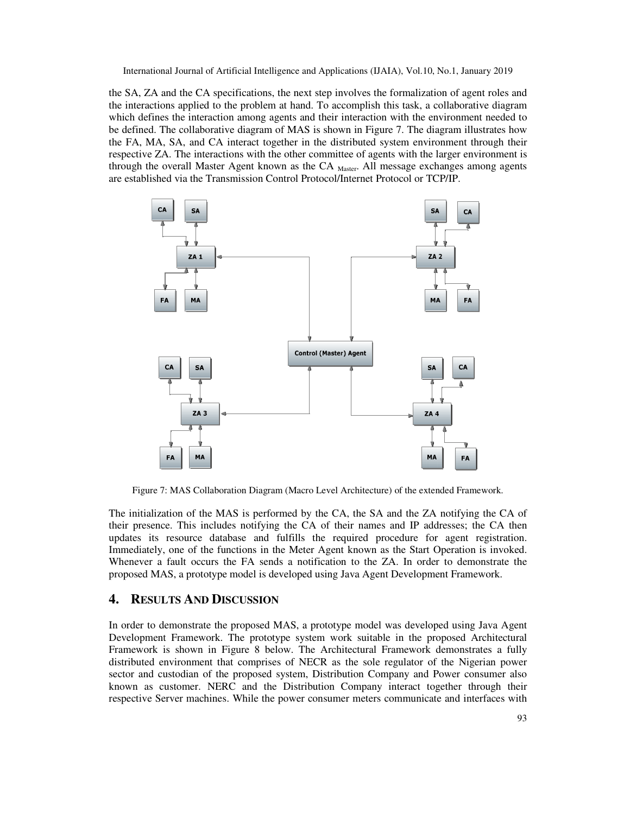the SA, ZA and the CA specifications, the next step involves the formalization of agent roles and the interactions applied to the problem at hand. To accomplish this task, a collaborative diagram which defines the interaction among agents and their interaction with the environment needed to be defined. The collaborative diagram of MAS is shown in Figure 7. The diagram illustrates how the FA, MA, SA, and CA interact together in the distributed system environment through their respective ZA. The interactions with the other committee of agents with the larger environment is through the overall Master Agent known as the CA Master. All message exchanges among agents are established via the Transmission Control Protocol/Internet Protocol or TCP/IP.



Figure 7: MAS Collaboration Diagram (Macro Level Architecture) of the extended Framework.

The initialization of the MAS is performed by the CA, the SA and the ZA notifying the CA of their presence. This includes notifying the CA of their names and IP addresses; the CA then updates its resource database and fulfills the required procedure for agent registration. Immediately, one of the functions in the Meter Agent known as the Start Operation is invoked. Whenever a fault occurs the FA sends a notification to the ZA. In order to demonstrate the proposed MAS, a prototype model is developed using Java Agent Development Framework.

### **4. RESULTS AND DISCUSSION**

In order to demonstrate the proposed MAS, a prototype model was developed using Java Agent Development Framework. The prototype system work suitable in the proposed Architectural Framework is shown in Figure 8 below. The Architectural Framework demonstrates a fully distributed environment that comprises of NECR as the sole regulator of the Nigerian power sector and custodian of the proposed system, Distribution Company and Power consumer also known as customer. NERC and the Distribution Company interact together through their respective Server machines. While the power consumer meters communicate and interfaces with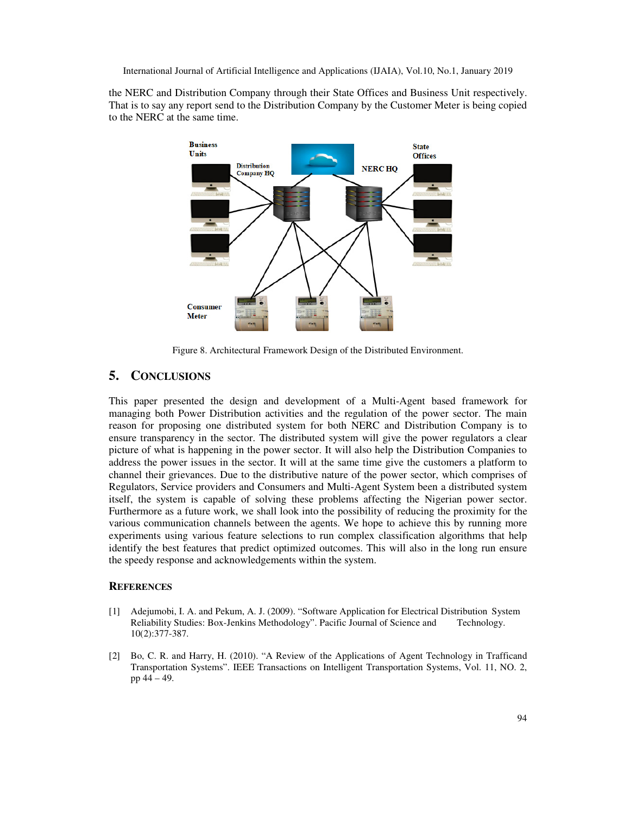the NERC and Distribution Company through their State Offices and Business Unit respectively. That is to say any report send to the Distribution Company by the Customer Meter is being copied to the NERC at the same time.



Figure 8. Architectural Framework Design of the Distributed Environment.

# **5. CONCLUSIONS**

This paper presented the design and development of a Multi-Agent based framework for managing both Power Distribution activities and the regulation of the power sector. The main reason for proposing one distributed system for both NERC and Distribution Company is to ensure transparency in the sector. The distributed system will give the power regulators a clear picture of what is happening in the power sector. It will also help the Distribution Companies to address the power issues in the sector. It will at the same time give the customers a platform to channel their grievances. Due to the distributive nature of the power sector, which comprises of Regulators, Service providers and Consumers and Multi-Agent System been a distributed system itself, the system is capable of solving these problems affecting the Nigerian power sector. Furthermore as a future work, we shall look into the possibility of reducing the proximity for the various communication channels between the agents. We hope to achieve this by running more experiments using various feature selections to run complex classification algorithms that help identify the best features that predict optimized outcomes. This will also in the long run ensure the speedy response and acknowledgements within the system.

#### **REFERENCES**

- [1] Adejumobi, I. A. and Pekum, A. J. (2009). "Software Application for Electrical Distribution System Reliability Studies: Box-Jenkins Methodology". Pacific Journal of Science and Technology. 10(2):377-387.
- [2] Bo, C. R. and Harry, H. (2010). "A Review of the Applications of Agent Technology in Trafficand Transportation Systems". IEEE Transactions on Intelligent Transportation Systems, Vol. 11, NO. 2, pp 44 – 49.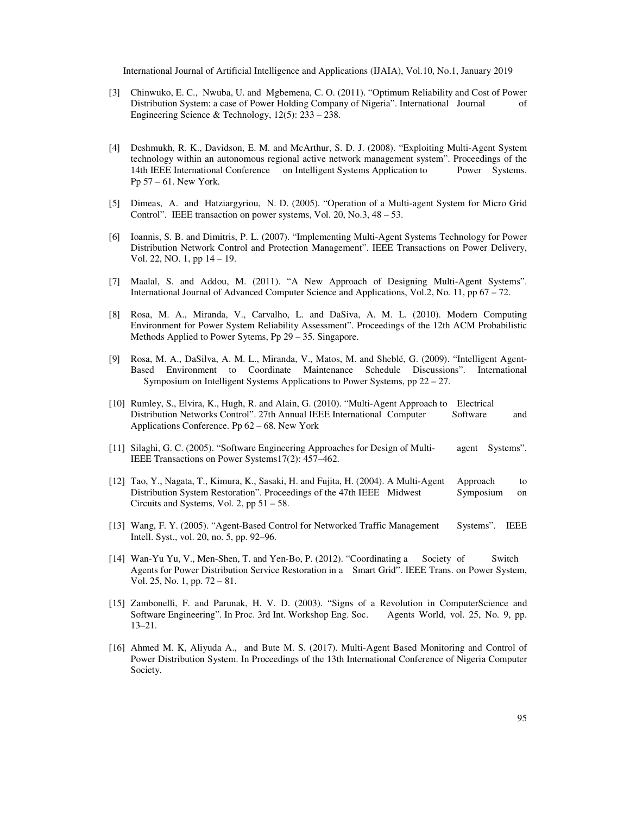- [3] Chinwuko, E. C., Nwuba, U. and Mgbemena, C. O. (2011). "Optimum Reliability and Cost of Power Distribution System: a case of Power Holding Company of Nigeria". International Journal of Engineering Science & Technology, 12(5): 233 – 238.
- [4] Deshmukh, R. K., Davidson, E. M. and McArthur, S. D. J. (2008). "Exploiting Multi-Agent System technology within an autonomous regional active network management system". Proceedings of the 14th IEEE International Conference on Intelligent Systems Application to Power Systems. Pp 57 – 61. New York.
- [5] Dimeas, A. and Hatziargyriou, N. D. (2005). "Operation of a Multi-agent System for Micro Grid Control". IEEE transaction on power systems, Vol. 20, No.3, 48 – 53.
- [6] Ioannis, S. B. and Dimitris, P. L. (2007). "Implementing Multi-Agent Systems Technology for Power Distribution Network Control and Protection Management". IEEE Transactions on Power Delivery, Vol. 22, NO. 1, pp 14 – 19.
- [7] Maalal, S. and Addou, M. (2011). "A New Approach of Designing Multi-Agent Systems". International Journal of Advanced Computer Science and Applications, Vol.2, No. 11, pp 67 – 72.
- [8] Rosa, M. A., Miranda, V., Carvalho, L. and DaSiva, A. M. L. (2010). Modern Computing Environment for Power System Reliability Assessment". Proceedings of the 12th ACM Probabilistic Methods Applied to Power Sytems, Pp 29 – 35. Singapore.
- [9] Rosa, M. A., DaSilva, A. M. L., Miranda, V., Matos, M. and Sheblé, G. (2009). "Intelligent Agent-Based Environment to Coordinate Maintenance Schedule Discussions". International Symposium on Intelligent Systems Applications to Power Systems, pp 22 – 27.
- [10] Rumley, S., Elvira, K., Hugh, R. and Alain, G. (2010). "Multi-Agent Approach to Electrical Distribution Networks Control". 27th Annual IEEE International Computer Software and Applications Conference. Pp 62 – 68. New York
- [11] Silaghi, G. C. (2005). "Software Engineering Approaches for Design of Multi- agent Systems". IEEE Transactions on Power Systems17(2): 457–462.
- [12] Tao, Y., Nagata, T., Kimura, K., Sasaki, H. and Fujita, H. (2004). A Multi-Agent Approach to Distribution System Restoration". Proceedings of the 47th IEEE Midwest Symposium on Circuits and Systems, Vol. 2, pp 51 – 58.
- [13] Wang, F. Y. (2005). "Agent-Based Control for Networked Traffic Management Systems". IEEE Intell. Syst., vol. 20, no. 5, pp. 92–96.
- [14] Wan-Yu Yu, V., Men-Shen, T. and Yen-Bo, P. (2012). "Coordinating a Society of Switch Agents for Power Distribution Service Restoration in a Smart Grid". IEEE Trans. on Power System, Vol. 25, No. 1, pp. 72 – 81.
- [15] Zambonelli, F. and Parunak, H. V. D. (2003). "Signs of a Revolution in ComputerScience and Software Engineering". In Proc. 3rd Int. Workshop Eng. Soc. Agents World, vol. 25, No. 9, pp. 13–21.
- [16] Ahmed M. K, Aliyuda A., and Bute M. S. (2017). Multi-Agent Based Monitoring and Control of Power Distribution System. In Proceedings of the 13th International Conference of Nigeria Computer Society.